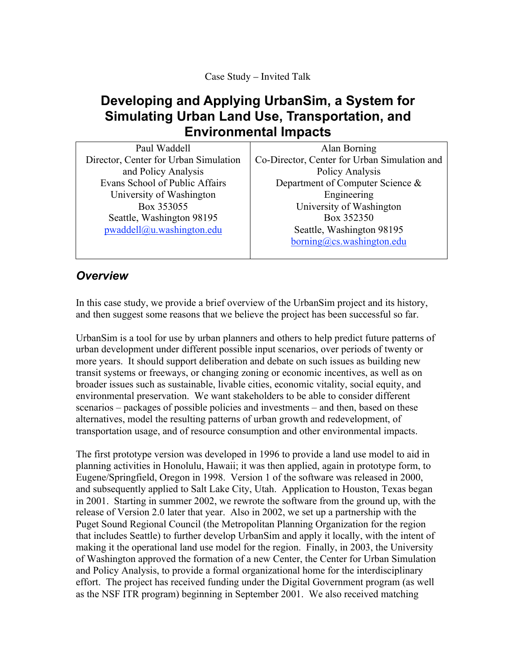Case Study – Invited Talk

## **Developing and Applying UrbanSim, a System for Simulating Urban Land Use, Transportation, and Environmental Impacts**

| Paul Waddell                          | Alan Borning                                 |
|---------------------------------------|----------------------------------------------|
| Director, Center for Urban Simulation | Co-Director, Center for Urban Simulation and |
| and Policy Analysis                   | Policy Analysis                              |
| Evans School of Public Affairs        | Department of Computer Science &             |
| University of Washington              | Engineering                                  |
| Box 353055                            | University of Washington                     |
| Seattle, Washington 98195             | Box 352350                                   |
| pwaddell@u.washington.edu             | Seattle, Washington 98195                    |
|                                       | borning@cs.washington.edu                    |
|                                       |                                              |

## *Overview*

In this case study, we provide a brief overview of the UrbanSim project and its history, and then suggest some reasons that we believe the project has been successful so far.

UrbanSim is a tool for use by urban planners and others to help predict future patterns of urban development under different possible input scenarios, over periods of twenty or more years. It should support deliberation and debate on such issues as building new transit systems or freeways, or changing zoning or economic incentives, as well as on broader issues such as sustainable, livable cities, economic vitality, social equity, and environmental preservation. We want stakeholders to be able to consider different scenarios – packages of possible policies and investments – and then, based on these alternatives, model the resulting patterns of urban growth and redevelopment, of transportation usage, and of resource consumption and other environmental impacts.

The first prototype version was developed in 1996 to provide a land use model to aid in planning activities in Honolulu, Hawaii; it was then applied, again in prototype form, to Eugene/Springfield, Oregon in 1998. Version 1 of the software was released in 2000, and subsequently applied to Salt Lake City, Utah. Application to Houston, Texas began in 2001. Starting in summer 2002, we rewrote the software from the ground up, with the release of Version 2.0 later that year. Also in 2002, we set up a partnership with the Puget Sound Regional Council (the Metropolitan Planning Organization for the region that includes Seattle) to further develop UrbanSim and apply it locally, with the intent of making it the operational land use model for the region. Finally, in 2003, the University of Washington approved the formation of a new Center, the Center for Urban Simulation and Policy Analysis, to provide a formal organizational home for the interdisciplinary effort. The project has received funding under the Digital Government program (as well as the NSF ITR program) beginning in September 2001. We also received matching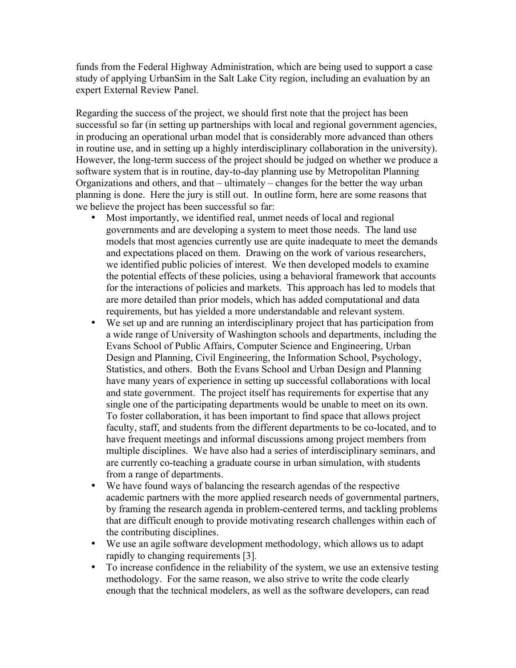funds from the Federal Highway Administration, which are being used to support a case study of applying UrbanSim in the Salt Lake City region, including an evaluation by an expert External Review Panel.

Regarding the success of the project, we should first note that the project has been successful so far (in setting up partnerships with local and regional government agencies, in producing an operational urban model that is considerably more advanced than others in routine use, and in setting up a highly interdisciplinary collaboration in the university). However, the long-term success of the project should be judged on whether we produce a software system that is in routine, day-to-day planning use by Metropolitan Planning Organizations and others, and that – ultimately – changes for the better the way urban planning is done. Here the jury is still out. In outline form, here are some reasons that we believe the project has been successful so far:

Most importantly, we identified real, unmet needs of local and regional governments and are developing a system to meet those needs. The land use models that most agencies currently use are quite inadequate to meet the demands and expectations placed on them. Drawing on the work of various researchers, we identified public policies of interest. We then developed models to examine the potential effects of these policies, using a behavioral framework that accounts for the interactions of policies and markets. This approach has led to models that are more detailed than prior models, which has added computational and data requirements, but has yielded a more understandable and relevant system. We set up and are running an interdisciplinary project that has participation from a wide range of University of Washington schools and departments, including the Evans School of Public Affairs, Computer Science and Engineering, Urban Design and Planning, Civil Engineering, the Information School, Psychology, Statistics, and others. Both the Evans School and Urban Design and Planning have many years of experience in setting up successful collaborations with local and state government. The project itself has requirements for expertise that any single one of the participating departments would be unable to meet on its own. To foster collaboration, it has been important to find space that allows project faculty, staff, and students from the different departments to be co-located, and to have frequent meetings and informal discussions among project members from multiple disciplines. We have also had a series of interdisciplinary seminars, and are currently co-teaching a graduate course in urban simulation, with students from a range of departments.

We have found ways of balancing the research agendas of the respective academic partners with the more applied research needs of governmental partners, by framing the research agenda in problem-centered terms, and tackling problems that are difficult enough to provide motivating research challenges within each of the contributing disciplines.

We use an agile software development methodology, which allows us to adapt rapidly to changing requirements [3].

To increase confidence in the reliability of the system, we use an extensive testing methodology. For the same reason, we also strive to write the code clearly enough that the technical modelers, as well as the software developers, can read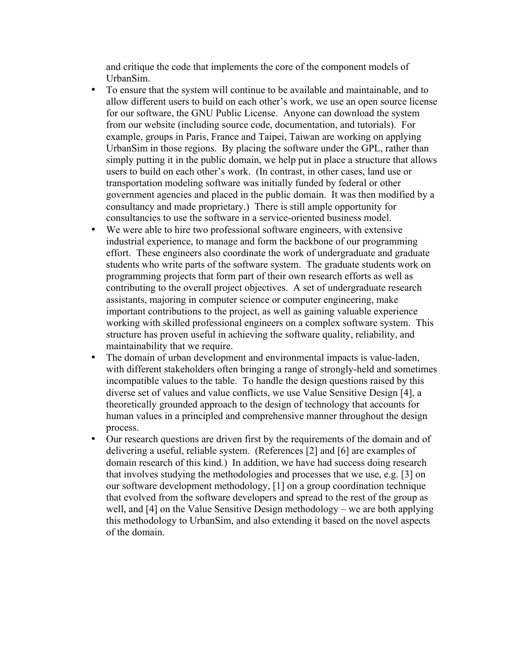and critique the code that implements the core of the component models of UrbanSim.

To ensure that the system will continue to be available and maintainable, and to allow different users to build on each other's work, we use an open source license for our software, the GNU Public License. Anyone can download the system from our website (including source code, documentation, and tutorials). For example, groups in Paris, France and Taipei, Taiwan are working on applying UrbanSim in those regions. By placing the software under the GPL, rather than simply putting it in the public domain, we help put in place a structure that allows users to build on each other's work. (In contrast, in other cases, land use or transportation modeling software was initially funded by federal or other government agencies and placed in the public domain. It was then modified by a consultancy and made proprietary.) There is still ample opportunity for consultancies to use the software in a service-oriented business model. We were able to hire two professional software engineers, with extensive industrial experience, to manage and form the backbone of our programming effort. These engineers also coordinate the work of undergraduate and graduate students who write parts of the software system. The graduate students work on programming projects that form part of their own research efforts as well as contributing to the overall project objectives. A set of undergraduate research assistants, majoring in computer science or computer engineering, make important contributions to the project, as well as gaining valuable experience working with skilled professional engineers on a complex software system. This structure has proven useful in achieving the software quality, reliability, and maintainability that we require.

The domain of urban development and environmental impacts is value-laden, with different stakeholders often bringing a range of strongly-held and sometimes incompatible values to the table. To handle the design questions raised by this diverse set of values and value conflicts, we use Value Sensitive Design [4], a theoretically grounded approach to the design of technology that accounts for human values in a principled and comprehensive manner throughout the design process.

Our research questions are driven first by the requirements of the domain and of delivering a useful, reliable system. (References [2] and [6] are examples of domain research of this kind.) In addition, we have had success doing research that involves studying the methodologies and processes that we use, e.g. [3] on our software development methodology, [1] on a group coordination technique that evolved from the software developers and spread to the rest of the group as well, and [4] on the Value Sensitive Design methodology – we are both applying this methodology to UrbanSim, and also extending it based on the novel aspects of the domain.